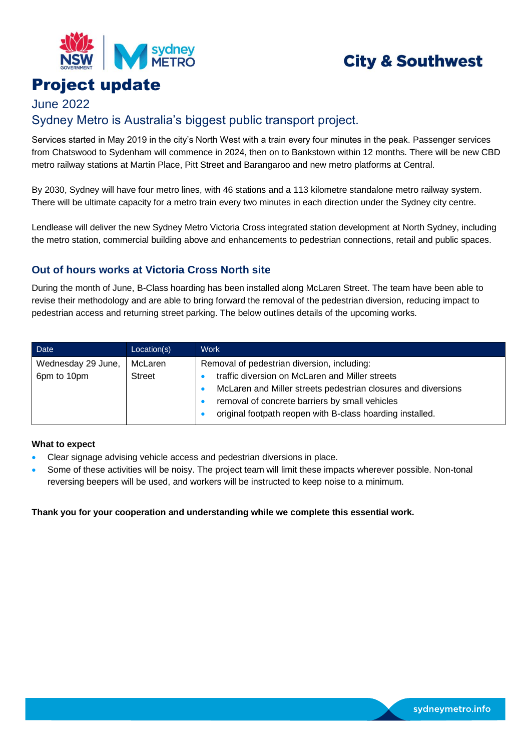

# **City & Southwest**

## Project update

## June 2022 Sydney Metro is Australia's biggest public transport project.

Services started in May 2019 in the city's North West with a train every four minutes in the peak. Passenger services from Chatswood to Sydenham will commence in 2024, then on to Bankstown within 12 months. There will be new CBD metro railway stations at Martin Place, Pitt Street and Barangaroo and new metro platforms at Central.

By 2030, Sydney will have four metro lines, with 46 stations and a 113 kilometre standalone metro railway system. There will be ultimate capacity for a metro train every two minutes in each direction under the Sydney city centre.

Lendlease will deliver the new Sydney Metro Victoria Cross integrated station development at North Sydney, including the metro station, commercial building above and enhancements to pedestrian connections, retail and public spaces.

### **Out of hours works at Victoria Cross North site**

During the month of June, B-Class hoarding has been installed along McLaren Street. The team have been able to revise their methodology and are able to bring forward the removal of the pedestrian diversion, reducing impact to pedestrian access and returning street parking. The below outlines details of the upcoming works.

| Date               | Location(s)   | <b>Work</b>                                                   |
|--------------------|---------------|---------------------------------------------------------------|
| Wednesday 29 June, | McLaren       | Removal of pedestrian diversion, including:                   |
| 6pm to 10pm        | <b>Street</b> | traffic diversion on McLaren and Miller streets               |
|                    |               | McLaren and Miller streets pedestrian closures and diversions |
|                    |               | removal of concrete barriers by small vehicles                |
|                    |               | original footpath reopen with B-class hoarding installed.     |

#### **What to expect**

- Clear signage advising vehicle access and pedestrian diversions in place.
- Some of these activities will be noisy. The project team will limit these impacts wherever possible. Non-tonal reversing beepers will be used, and workers will be instructed to keep noise to a minimum.

#### **Thank you for your cooperation and understanding while we complete this essential work.**